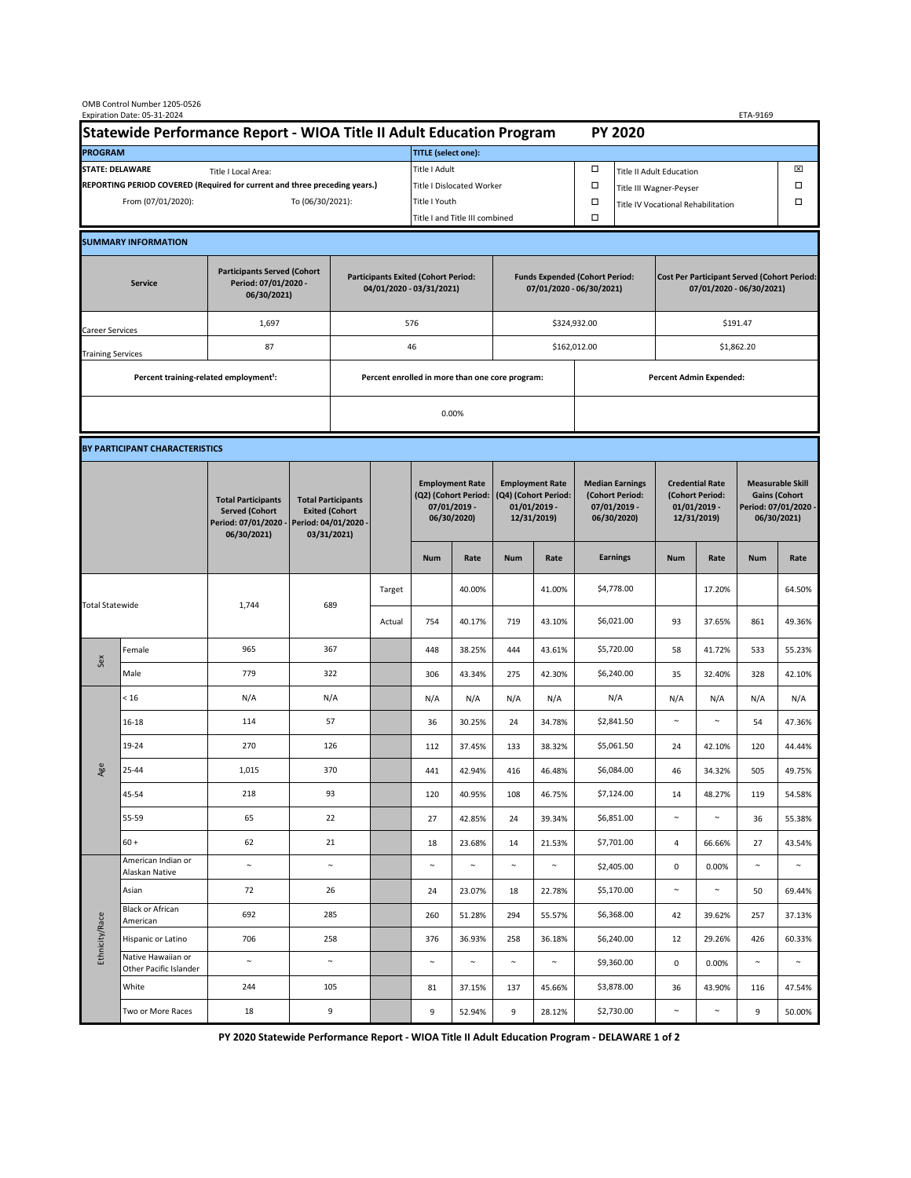| OMB Control Number 1205-0526<br>Expiration Date: 05-31-2024<br>ETA-9169                     |                                                    |                                                                                           |                                                                                           |                                                                        |                           |                                                                                 |                                |                                                                                 |                                |                                                                            |                              |                                                                                |        |                                                                                        |        |  |
|---------------------------------------------------------------------------------------------|----------------------------------------------------|-------------------------------------------------------------------------------------------|-------------------------------------------------------------------------------------------|------------------------------------------------------------------------|---------------------------|---------------------------------------------------------------------------------|--------------------------------|---------------------------------------------------------------------------------|--------------------------------|----------------------------------------------------------------------------|------------------------------|--------------------------------------------------------------------------------|--------|----------------------------------------------------------------------------------------|--------|--|
| Statewide Performance Report - WIOA Title II Adult Education Program                        |                                                    |                                                                                           |                                                                                           |                                                                        |                           |                                                                                 |                                |                                                                                 |                                |                                                                            | <b>PY 2020</b>               |                                                                                |        |                                                                                        |        |  |
| <b>PROGRAM</b>                                                                              |                                                    |                                                                                           |                                                                                           |                                                                        |                           | <b>TITLE</b> (select one):                                                      |                                |                                                                                 |                                |                                                                            |                              |                                                                                |        |                                                                                        |        |  |
| <b>STATE: DELAWARE</b><br>Title I Local Area:                                               |                                                    |                                                                                           |                                                                                           |                                                                        |                           | Title I Adult                                                                   |                                |                                                                                 |                                | □<br><b>Title II Adult Education</b>                                       |                              |                                                                                |        |                                                                                        | ⊠      |  |
| REPORTING PERIOD COVERED (Required for current and three preceding years.)                  |                                                    |                                                                                           |                                                                                           |                                                                        | Title I Dislocated Worker |                                                                                 |                                |                                                                                 |                                | Ω                                                                          | □<br>Title III Wagner-Peyser |                                                                                |        |                                                                                        |        |  |
| From (07/01/2020):                                                                          |                                                    |                                                                                           | To (06/30/2021):                                                                          |                                                                        |                           | Title I Youth                                                                   |                                |                                                                                 | $\Box$                         | Title IV Vocational Rehabilitation                                         |                              |                                                                                |        | □                                                                                      |        |  |
|                                                                                             |                                                    |                                                                                           |                                                                                           |                                                                        |                           |                                                                                 | Title I and Title III combined |                                                                                 |                                | Ω                                                                          |                              |                                                                                |        |                                                                                        |        |  |
|                                                                                             | <b>SUMMARY INFORMATION</b>                         |                                                                                           |                                                                                           |                                                                        |                           |                                                                                 |                                |                                                                                 |                                |                                                                            |                              |                                                                                |        |                                                                                        |        |  |
| <b>Participants Served (Cohort</b><br>Period: 07/01/2020 -<br><b>Service</b><br>06/30/2021) |                                                    |                                                                                           |                                                                                           | <b>Participants Exited (Cohort Period:</b><br>04/01/2020 - 03/31/2021) |                           |                                                                                 |                                | <b>Funds Expended (Cohort Period:</b><br>07/01/2020 - 06/30/2021)               |                                |                                                                            |                              | <b>Cost Per Participant Served (Cohort Period:</b><br>07/01/2020 - 06/30/2021) |        |                                                                                        |        |  |
| <b>Career Services</b>                                                                      |                                                    | 1,697                                                                                     |                                                                                           |                                                                        |                           | 576                                                                             |                                |                                                                                 |                                | \$324,932.00                                                               |                              | \$191.47                                                                       |        |                                                                                        |        |  |
| <b>Training Services</b>                                                                    |                                                    | 87                                                                                        |                                                                                           | 46                                                                     |                           |                                                                                 |                                |                                                                                 |                                | \$162,012.00                                                               |                              | \$1,862.20                                                                     |        |                                                                                        |        |  |
|                                                                                             | Percent training-related employment <sup>1</sup> : |                                                                                           | Percent enrolled in more than one core program:                                           |                                                                        |                           |                                                                                 |                                |                                                                                 | <b>Percent Admin Expended:</b> |                                                                            |                              |                                                                                |        |                                                                                        |        |  |
|                                                                                             |                                                    |                                                                                           |                                                                                           |                                                                        |                           |                                                                                 |                                |                                                                                 |                                |                                                                            |                              |                                                                                |        |                                                                                        |        |  |
|                                                                                             |                                                    |                                                                                           |                                                                                           |                                                                        |                           |                                                                                 | 0.00%                          |                                                                                 |                                |                                                                            |                              |                                                                                |        |                                                                                        |        |  |
|                                                                                             | BY PARTICIPANT CHARACTERISTICS                     |                                                                                           |                                                                                           |                                                                        |                           |                                                                                 |                                |                                                                                 |                                |                                                                            |                              |                                                                                |        |                                                                                        |        |  |
|                                                                                             |                                                    | <b>Total Participants</b><br><b>Served (Cohort</b><br>Period: 07/01/2020 -<br>06/30/2021) | <b>Total Participants</b><br><b>Exited (Cohort</b><br>Period: 04/01/2020 -<br>03/31/2021) |                                                                        |                           | <b>Employment Rate</b><br>(Q2) (Cohort Period:<br>$07/01/2019$ -<br>06/30/2020) |                                | <b>Employment Rate</b><br>(Q4) (Cohort Period:<br>$01/01/2019$ -<br>12/31/2019) |                                | <b>Median Earnings</b><br>(Cohort Period:<br>$07/01/2019 -$<br>06/30/2020) |                              | <b>Credential Rate</b><br>(Cohort Period:<br>$01/01/2019$ -<br>12/31/2019)     |        | <b>Measurable Skill</b><br><b>Gains (Cohort</b><br>Period: 07/01/2020 -<br>06/30/2021) |        |  |
|                                                                                             |                                                    |                                                                                           |                                                                                           |                                                                        |                           | <b>Num</b>                                                                      | Rate                           | <b>Num</b>                                                                      | Rate                           |                                                                            | <b>Earnings</b>              | <b>Num</b>                                                                     | Rate   | <b>Num</b>                                                                             | Rate   |  |
| <b>Total Statewide</b>                                                                      |                                                    | 1,744                                                                                     | 689                                                                                       |                                                                        | Target                    |                                                                                 | 40.00%                         |                                                                                 | 41.00%                         |                                                                            | \$4,778.00                   |                                                                                | 17.20% |                                                                                        | 64.50% |  |
|                                                                                             |                                                    |                                                                                           |                                                                                           |                                                                        | Actual                    | 754                                                                             | 40.17%                         | 719                                                                             | 43.10%                         |                                                                            | \$6,021.00                   | 93                                                                             | 37.65% | 861                                                                                    | 49.36% |  |
| Sex                                                                                         | Female                                             | 965                                                                                       | 367                                                                                       |                                                                        |                           | 448                                                                             | 38.25%                         | 444                                                                             | 43.61%                         |                                                                            | \$5,720.00                   | 58                                                                             | 41.72% | 533                                                                                    | 55.23% |  |
|                                                                                             | Male                                               | 779                                                                                       | 322                                                                                       |                                                                        |                           | 306                                                                             | 43.34%                         | 275                                                                             | 42.30%                         |                                                                            | \$6,240.00                   | 35                                                                             | 32.40% | 328                                                                                    | 42.10% |  |
| Age                                                                                         | < 16                                               | N/A                                                                                       | N/A                                                                                       |                                                                        |                           | N/A                                                                             | N/A                            | N/A                                                                             | N/A                            |                                                                            | N/A                          | N/A                                                                            | N/A    | N/A                                                                                    | N/A    |  |
|                                                                                             | 16-18                                              | 114                                                                                       | 57                                                                                        |                                                                        |                           | 36                                                                              | 30.25%                         | 24                                                                              | 34.78%                         |                                                                            | \$2,841.50                   | $\sim$                                                                         | $\sim$ | 54                                                                                     | 47.36% |  |
|                                                                                             | 19-24                                              | 270                                                                                       | 126                                                                                       |                                                                        |                           | 112                                                                             | 37.45%                         | 133                                                                             | 38.32%                         |                                                                            | \$5,061.50                   | 24                                                                             | 42.10% | 120                                                                                    | 44.44% |  |
|                                                                                             | 25-44                                              | 1,015                                                                                     | 370                                                                                       |                                                                        |                           | 441                                                                             | 42.94%                         | 416                                                                             | 46.48%                         |                                                                            | \$6,084.00                   | 46                                                                             | 34.32% | 505                                                                                    | 49.75% |  |
|                                                                                             | 45-54                                              | 218                                                                                       | 93                                                                                        |                                                                        |                           | 120                                                                             | 40.95%                         | 108                                                                             | 46.75%                         |                                                                            | \$7,124.00                   | 14                                                                             | 48.27% | 119                                                                                    | 54.58% |  |
|                                                                                             | 55-59                                              | 65                                                                                        | 22                                                                                        |                                                                        |                           | 27                                                                              | 42.85%                         | 24                                                                              | 39.34%                         |                                                                            | \$6,851.00                   | $\sim$                                                                         | $\sim$ | 36                                                                                     | 55.38% |  |
|                                                                                             | $60 +$                                             | 62                                                                                        | 21                                                                                        |                                                                        |                           | 18                                                                              | 23.68%                         | 14                                                                              | 21.53%                         |                                                                            | \$7,701.00                   | 4                                                                              | 66.66% | 27                                                                                     | 43.54% |  |
| Ethnicity/Race                                                                              | American Indian or<br>Alaskan Native               | $\sim$                                                                                    | $\sim$                                                                                    |                                                                        |                           | $\sim$                                                                          | $\sim$                         | $\sim$                                                                          | $\sim$                         |                                                                            | \$2,405.00                   | 0                                                                              | 0.00%  | $\sim$                                                                                 | $\sim$ |  |
|                                                                                             | Asian                                              | 72                                                                                        | 26                                                                                        |                                                                        |                           | 24                                                                              | 23.07%                         | 18                                                                              | 22.78%                         |                                                                            | \$5,170.00                   | $\sim$                                                                         | $\sim$ | 50                                                                                     | 69.44% |  |
|                                                                                             | Black or African<br>American                       | 692                                                                                       | 285                                                                                       |                                                                        |                           | 260                                                                             | 51.28%                         | 294                                                                             | 55.57%                         |                                                                            | \$6,368.00                   | 42                                                                             | 39.62% | 257                                                                                    | 37.13% |  |
|                                                                                             | Hispanic or Latino                                 | 706                                                                                       | 258                                                                                       |                                                                        |                           | 376                                                                             | 36.93%                         | 258                                                                             | 36.18%                         |                                                                            | \$6,240.00                   | 12                                                                             | 29.26% | 426                                                                                    | 60.33% |  |
|                                                                                             | Native Hawaiian or<br>Other Pacific Islander       | $\sim$                                                                                    | $\sim$                                                                                    |                                                                        |                           | $\sim$                                                                          | $\sim$                         | $\sim$                                                                          | $\sim$                         |                                                                            | \$9,360.00                   | $\mathbf 0$                                                                    | 0.00%  | $\sim$                                                                                 | $\sim$ |  |
|                                                                                             | White                                              | 244                                                                                       | 105                                                                                       |                                                                        |                           | 81                                                                              | 37.15%                         | 137                                                                             | 45.66%                         |                                                                            | \$3,878.00                   | 36                                                                             | 43.90% | 116                                                                                    | 47.54% |  |
|                                                                                             | Two or More Races                                  | 18                                                                                        | 9                                                                                         |                                                                        |                           | 9                                                                               | 52.94%                         | 9                                                                               | 28.12%                         |                                                                            | \$2,730.00                   | $\sim$                                                                         | $\sim$ | 9                                                                                      | 50.00% |  |

 **PY 2020 Statewide Performance Report - WIOA Title II Adult Education Program - DELAWARE 1 of 2**